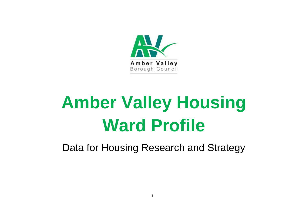

# **Amber Valley Housing Ward Profile**

Data for Housing Research and Strategy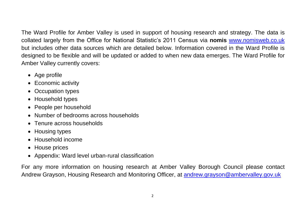The Ward Profile for Amber Valley is used in support of housing research and strategy. The data is collated largely from the Office for National Statistic's 2011 Census via **nomis** [www.nomisweb.co.uk](http://www.nomisweb.co.uk/) but includes other data sources which are detailed below. Information covered in the Ward Profile is designed to be flexible and will be updated or added to when new data emerges. The Ward Profile for Amber Valley currently covers:

- Age profile
- Economic activity
- Occupation types
- Household types
- People per household
- Number of bedrooms across households
- Tenure across households
- Housing types
- Household income
- House prices
- Appendix: Ward level urban-rural classification

For any more information on housing research at Amber Valley Borough Council please contact Andrew Grayson, Housing Research and Monitoring Officer, at **andrew.grayson@ambervalley.gov.uk**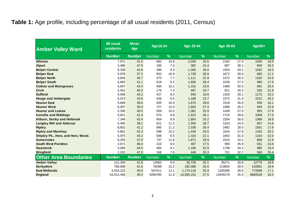#### **Table 1:** Age profile, including percentage of all usual residents (2011, Census)

| <b>Amber Valley Ward</b>           | <b>All usual</b><br><b>residents</b> | <b>Mean</b><br>Age | Age 16-24     |      | <b>Age 25-44</b> |      | <b>Age 45-64</b> |      | Age65+        |      |  |
|------------------------------------|--------------------------------------|--------------------|---------------|------|------------------|------|------------------|------|---------------|------|--|
|                                    | <b>Number</b>                        | <b>Number</b>      | <b>Number</b> | %    | <b>Number</b>    | %    | <b>Number</b>    | %    | <b>Number</b> | %    |  |
| <b>Alfreton</b>                    | 7,971                                | 41.5               | 860           | 10.8 | 2,039            | 25.6 | 2182             | 27.4 | 1505          | 18.9 |  |
| <b>Alport</b>                      | 2,485                                | 47.9               | 186           | 7.5  | 382              | 15.4 | 897              | 36.1 | 659           | 26.5 |  |
| <b>Belper Central</b>              | 5,338                                | 42.8               | 499           | 9.3  | 1,390            | 26.0 | 1553             | 29.1 | 1032          | 19.3 |  |
| <b>Belper East</b>                 | 5,978                                | 37.2               | 653           | 10.9 | 1,728            | 28.9 | 1672             | 28.0 | 665           | 11.1 |  |
| <b>Belper North</b>                | 4,844                                | 45.7               | 373           | 7.7  | 1.111            | 22.9 | 1472             | 30.4 | 1162          | 24.0 |  |
| <b>Belper South</b>                | 5,663                                | 41.1               | 519           | 9.2  | 1,606            | 28.4 | 1539             | 27.2 | 990           | 17.5 |  |
| <b>Codnor and Waingroves</b>       | 4,847                                | 43.4               | 494           | 10.2 | 1,152            | 23.8 | 1469             | 30.3 | 991           | 20.4 |  |
| <b>Crich</b>                       | 2,401                                | 45.3               | 176           | 7.3  | 497              | 20.7 | 821              | 34.2 | 526           | 21.9 |  |
| <b>Duffield</b>                    | 5,046                                | 43.2               | 427           | 8.5  | 940              | 18.6 | 1420             | 28.1 | 1172          | 23.2 |  |
| <b>Heage and Ambergate</b>         | 5,013                                | 43.6               | 426           | 8.5  | 1,189            | 23.7 | 1572             | 31.4 | 1012          | 20.2 |  |
| <b>Heanor East</b>                 | 5,849                                | 39.6               | 635           | 10.9 | 1,675            | 28.6 | 1518             | 26.0 | 939           | 16.1 |  |
| <b>Heanor West</b>                 | 6,067                                | 39.3               | 727           | 12.0 | 1,663            | 27.4 | 1588             | 26.2 | 944           | 15.6 |  |
| <b>Heanor and Loscoe</b>           | 5,335                                | 40.5               | 559           | 10.5 | 1,381            | 25.9 | 1438             | 27.0 | 955           | 17.9 |  |
| <b>Ironville and Riddings</b>      | 5,821                                | 41.4               | 570           | 9.8  | 1,522            | 26.1 | 1724             | 29.6 | 1009          | 17.3 |  |
| Kilburn, Denby and Holbrook        | 7,346                                | 42.4               | 654           | 8.9  | 1,854            | 25.2 | 2204             | 30.0 | 1368          | 18.6 |  |
| <b>Langley Mill and Aldercar</b>   | 5,405                                | 38.1               | 621           | 11.5 | 1,550            | 28.7 | 1323             | 24.5 | 807           | 14.9 |  |
| <b>Ripley</b>                      | 8,852                                | 41.2               | 995           | 11.2 | 2,338            | 26.4 | 2482             | 28.0 | 1561          | 17.6 |  |
| <b>Ripley and Marehay</b>          | 5,861                                | 42.3               | 598           | 10.2 | 1,438            | 24.5 | 1616             | 27.6 | 1182          | 20.2 |  |
| Shipley Pk., Hors. and Hors. Wood. | 5,975                                | 44.2               | 506           | 8.5  | 1,323            | 22.1 | 1853             | 31.0 | 1316          | 22.0 |  |
| <b>Somercotes</b>                  | 6,255                                | 37.0               | 737           | 11.8 | 1,871            | 29.9 | 1510             | 24.1 | 808           | 12.9 |  |
| <b>South West Parishes</b>         | 2,671                                | 46.4               | 215           | 8.0  | 467              | 17.5 | 959              | 35.9 | 631           | 23.6 |  |
| <b>Swanwick</b>                    | 5,084                                | 44.5               | 465           | 9.1  | 1,166            | 22.9 | 1738             | 34.2 | 985           | 19.4 |  |
| Wingfield                          | 2,202                                | 47.0               | 168           | 7.6  | 446              | 20.3 | 721              | 32.7 | 560           | 25.4 |  |
| <b>Other Area Boundaries</b>       | <b>Number</b>                        | <b>Number</b>      | <b>Number</b> | %    | <b>Number</b>    | %    | <b>Number</b>    | %    | <b>Number</b> | %    |  |
| <b>Amber Valley</b>                | 122,309                              | 41.8               | 12063         | 9.9  | 30,728           | 25.1 | 35271            | 28.8 | 22779         | 18.6 |  |
| <b>Derbyshire</b>                  | 769.686                              | 41.6               | 78288         | 10.2 | 192,068          | 25.0 | 219653           | 28.5 | 142891        | 18.6 |  |
| <b>East Midlands</b>               | 4,533,222                            | 40.0               | 547411        | 12.1 | 1,174,119        | 25.9 | 1200289          | 26.5 | 772948        | 17.1 |  |
| England                            | 53,012,456                           | 39.3               | 6284760       | 11.9 | 14,595,152       | 27.5 | 13449179         | 25.4 | 8660529       | 16.3 |  |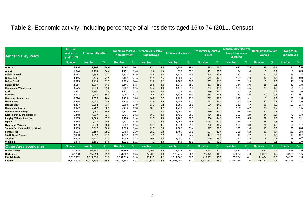### **Table 2:** Economic activity, including percentage of all residents aged 16 to 74 (2011, Census)

| <b>Amber Valley Ward</b>           | <b>All usual</b><br>residents<br>aged 16 - 74 | <b>Economically active</b> |      | <b>Economically active:</b><br>In employment |      | <b>Economically active:</b><br><b>Unemployed</b> |     | <b>Economically Inactive</b> |      | <b>Economically inactive:</b><br><b>Retired</b> |      | <b>Economically inactive:</b><br>Long-term sick or<br>disabled |     | <b>Unemployed: Never</b><br>worked |     | Long-term<br>unemployed |     |
|------------------------------------|-----------------------------------------------|----------------------------|------|----------------------------------------------|------|--------------------------------------------------|-----|------------------------------|------|-------------------------------------------------|------|----------------------------------------------------------------|-----|------------------------------------|-----|-------------------------|-----|
|                                    | <b>Number</b>                                 | <b>Number</b>              | %    | <b>Number</b>                                | %    | Number,                                          | %   | <b>Number</b>                | %    | <b>Number</b>                                   | %    | <b>Number</b>                                                  | %   | <b>Number</b>                      | %   | <b>Number</b>           | %   |
| Alfreton                           | 5,846                                         | 3,895                      | 66.6 | 3,460                                        | 59.2 | 324                                              | 5.5 | 1,951                        | 33.4 | 933                                             | 16.0 | 430                                                            | 7.4 | 38                                 | 0.7 | 151                     | 2.6 |
| <b>Alport</b>                      | 1,844                                         | 1,224                      | 66.4 | 1,172                                        | 63.6 | 24                                               | 1.3 | 620                          | 33.6 | 461                                             | 25.0 | 34                                                             | 1.8 | 3                                  | 0.2 |                         | 0.3 |
| <b>Belper Central</b>              | 3,967                                         | 2,844                      | 71.7 | 2,613                                        | 65.9 | 148                                              | 3.7 | 1,123                        | 28.3 | 695                                             | 17.5 | 130                                                            | 3.3 | 17                                 | 0.4 | 56                      | 1.4 |
| <b>Belper East</b>                 | 4.445                                         | 3,445                      | 77.5 | 3,182                                        | 71.6 | 114                                              | 2.6 | 1,000                        | 22.5 | 545                                             | 12.3 | 108                                                            | 2.4 | 12                                 | 0.3 | 40                      | 0.9 |
| <b>Belper North</b>                | 3,579                                         | 2,493                      | 69.7 | 2,289                                        | 64.0 | 114                                              | 3.2 | 1,086                        | 30.3 | 755                                             | 21.1 | 105                                                            | 2.9 | 9                                  | 0.3 | 48                      | 1.3 |
| <b>Belper South</b>                | 4,157                                         | 3,087                      | 74.3 | 2,848                                        | 68.5 | 158                                              | 3.8 | 1,070                        | 25.7 | 628                                             | 15.1 | 124                                                            | 3.0 | 13                                 | 0.3 | 62                      | 1.5 |
| <b>Codnor and Waingroves</b>       | 3,675                                         | 2,534                      | 69.0 | 2,302                                        | 62.6 | 147                                              | 4.0 | 1,141                        | 31.0 | 702                                             | 19.1 | 168                                                            | 4.6 | 23                                 | 0.6 | 51                      | 1.4 |
| Crich                              | 1,811                                         | 1,192                      | 65.8 | 1,121                                        | 61.9 | 47                                               | 2.6 | 619                          | 34.2 | 430                                             | 23.7 | 51                                                             | 2.8 | -7                                 | 0.4 | 18                      | 1.0 |
| <b>Duffield</b>                    | 3,327                                         | 2,205                      | 66.3 | 2,043                                        | 61.4 | 66                                               | 2.0 | 1,122                        | 33.7 | 658                                             | 19.8 | 67                                                             | 2.0 | 10                                 | 0.3 | 22                      | 0.7 |
| <b>Heage and Ambergate</b>         | 3,774                                         | 2,656                      | 70.4 | 2,476                                        | 65.6 | 101                                              | 2.7 | 1,118                        | 29.6 | 712                                             | 18.9 | 117                                                            | 3.1 | 9                                  | 0.2 | 37                      | 1.0 |
| <b>Heanor East</b>                 | 4,414                                         | 3,030                      | 68.6 | 2,713                                        | 61.5 | 218                                              | 4.9 | 1,384                        | 31.4 | 732                                             | 16.6 | 217                                                            | 4.9 | 30                                 | 0.7 | 90                      | 2.0 |
| <b>Heanor West</b>                 | 4,487                                         | 3,202                      | 71.4 | 2,868                                        | 63.9 | 235                                              | 5.2 | 1,285                        | 28.6 | 626                                             | 14.0 | 212                                                            | 4.7 | 25                                 | 0.6 | 107                     | 2.4 |
| <b>Heanor and Loscoe</b>           | 3,922                                         | 2,702                      | 68.9 | 2,433                                        | 62.0 | 186                                              | 4.7 | 1,220                        | 31.1 | 687                                             | 17.5 | 166                                                            | 4.2 | 28                                 | 0.7 | 63                      | 1.6 |
| <b>Ironville and Riddings</b>      | 4,415                                         | 2,955                      | 66.9 | 2,673                                        | 60.5 | 222                                              | 5.0 | 1,460                        | 33.1 | 760                                             | 17.2 | 266                                                            | 6.0 | 21                                 | 0.5 | 101                     | 2.3 |
| Kilburn, Denby and Holbrook        | 5,448                                         | 4,017                      | 73.7 | 3,716                                        | 68.2 | 163                                              | 3.0 | 1,431                        | 26.3 | 906                                             | 16.6 | 157                                                            | 2.9 | 24                                 | 0.4 | 70                      | 1.3 |
| <b>Langley Mill and Aldercar</b>   | 3,965                                         | 2,683                      | 67.7 | 2,420                                        | 61.0 | 195                                              | 4.9 | 1,282                        | 32.3 | 560                                             | 14.1 | 256                                                            | 6.5 | 32                                 | 0.8 | 82                      | 2.1 |
| Ripley                             | 6.684                                         | 4,715                      | 70.5 | 4,271                                        | 63.9 | 282                                              | 4.2 | 1,969                        | 29.5 | 1.134                                           | 17.0 | 284                                                            | 4.2 | 38                                 | 0.6 | 118                     | 1.8 |
| <b>Ripley and Marehay</b>          | 4,283                                         | 2,940                      | 68.6 | 2,682                                        | 62.6 | 176                                              | 4.1 | 1,343                        | 31.4 | 780                                             | 18.2 | 164                                                            | 3.8 | 26                                 | 0.6 | 74                      | 1.7 |
| Shipley Pk., Hors. and Hors. Wood. | 4,399                                         | 3,017                      | 68.6 | 2,806                                        | 63.8 | 110                                              | 2.5 | 1,382                        | 31.4 | 917                                             | 20.8 | 125                                                            | 2.8 | 15                                 | 0.3 | 35                      | 0.8 |
| <b>Somercotes</b>                  | 4,564                                         | 3,159                      | 69.2 | 2,783                                        | 61.0 | 288                                              | 6.3 | 1,405                        | 30.8 | 564                                             | 12.4 | 286                                                            | 6.3 | 31                                 | 0.7 | 129                     | 2.8 |
| <b>South West Parishes</b>         | 2,000                                         | 1,357                      | 67.9 | 1,257                                        | 62.9 | 44                                               | 2.2 | 643                          | 32.2 | 427                                             | 21.4 | 44                                                             | 2.2 |                                    | 0.2 | 13                      | 0.7 |
| Swanwick                           | 3,908                                         | 2,827                      | 72.3 | 2,636                                        | 67.5 | 101                                              | 2.6 | 1,081                        | 27.7 | 726                                             | 18.6 | 115                                                            | 2.9 | 8                                  | 0.2 | 29                      | 0.7 |
| Wingfield                          | 1.644                                         | 1,101                      | 67.0 | 1,022                                        | 62.2 | 40                                               | 2.4 | 543                          | 33.0 | 377                                             | 22.9 | 54                                                             | 3.3 | $\overline{2}$                     | 0.1 | 17                      | 1.0 |
| <b>Other Area Boundaries</b>       | <b>Number</b>                                 | <b>Number</b>              | %    | <b>Number</b>                                | %    | Number                                           | %   | <b>Number</b>                | %    | <b>Number</b>                                   | %    | <b>Number</b>                                                  | %   | <b>Number</b>                      | ℅   | <b>Number</b>           | %   |
| <b>Amber Valley</b>                | 90,558                                        | 63,280                     | 69.9 | 57,786                                       | 63.8 | 3,503                                            | 3.9 | 27,278                       | 30.1 | 15,715                                          | 17.4 | 3,680                                                          | 4.1 | 425                                | 0.5 | 1,418                   | 1.6 |
| Derbyshire                         | 567,798                                       | 397,053                    | 69.9 | 361,367                                      | 63.6 | 22,206                                           | 3.9 | 170,745                      | 30.1 | 95,875                                          | 16.9 | 24,687                                                         | 4.3 | 3,065                              | 0.5 | 8,988                   | 1.6 |
| <b>East Midlands</b>               | 3,336,532                                     | 2,312,030                  | 69.3 | 2,062,515                                    | 61.8 | 139,295                                          | 4.2 | 1,024,502                    | 30.7 | 498,882                                         | 15.0 | 135,264                                                        | 4.1 | 21,034                             | 0.6 | 54,393                  | 1.6 |
| England                            | 38,881,374                                    | 27,183,134                 | 69.9 | 24,143,464                                   | 62.1 | 1,702,847                                        | 4.4 | 11,698,240                   | 30.1 | 5,320,691                                       | 13.7 | 1,574,134                                                      | 4.0 | 276,121                            | 0.7 | 668,496                 | 1.7 |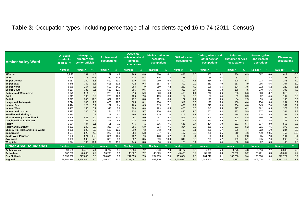#### **Table 3:** Occupation types, including percentage of all residents aged 16 to 74 (2011, Census)

| <b>Amber Valley Ward</b>           | <b>All usual</b><br><b>residnets</b><br>aged 16-74 | Managers,<br>directors and<br>senior officials |               | <b>Professional</b><br>occupations | <b>Associate</b><br><b>Administrative and</b><br>professional and<br>secretarial<br>technical<br>occupations<br>occupations |               | <b>Skilled trades</b><br>occupations |               | Caring, leisure and<br>other service<br>occupations |               | <b>Sales and</b><br>customer service<br><b>occupations</b> |               | Process, plant<br>and machine<br>operatives |               | <b>Elementary</b><br>occupations |               |      |               |      |
|------------------------------------|----------------------------------------------------|------------------------------------------------|---------------|------------------------------------|-----------------------------------------------------------------------------------------------------------------------------|---------------|--------------------------------------|---------------|-----------------------------------------------------|---------------|------------------------------------------------------------|---------------|---------------------------------------------|---------------|----------------------------------|---------------|------|---------------|------|
|                                    | <b>Number</b>                                      | <b>Number</b>                                  |               | <b>Number</b>                      | $\%$                                                                                                                        | <b>Number</b> | $\frac{9}{6}$                        | <b>Number</b> | ℅                                                   | <b>Number</b> | %                                                          | <b>Number</b> | %                                           | <b>Number</b> | %                                | <b>Number</b> | $\%$ | <b>Number</b> | %    |
| <b>Alfreton</b>                    | 5,846                                              | 281                                            | 4.8           | 287                                | 4.9                                                                                                                         | 266           | 4.6                                  | 360           | 6.2                                                 | 498           | 8.5                                                        | 363           | 6.2                                         | 284           | 4.9                              | 587           | 10.0 | 617           | 10.6 |
| <b>Alport</b>                      | 1,844                                              | 213                                            | 11.6          | 250                                | 13.6                                                                                                                        | 115           | 6.2                                  | 136           | 7.4                                                 | 185           | 10.0                                                       | 68            | 3.7                                         | 57            | 3.1                              | 77            | 4.2  | 95            | 5.2  |
| <b>Belper Central</b>              | 3,967                                              | 259                                            | 6.5           | 519                                | 13.1                                                                                                                        | 339           | 8.5                                  | 269           | 6.8                                                 | 302           | 7.6                                                        | 264           | 6.7                                         | 228           | 5.7                              | 223           | 5.6  | 276           | 7.0  |
| <b>Belper East</b>                 | 4,445                                              | 362                                            | 8.1           | 615                                | 13.8                                                                                                                        | 412           | 9.3                                  | 387           | 8.7                                                 | 399           | 9.0                                                        | 313           | 7.0                                         | 217           | 4.9                              | 295           | 6.6  | 307           | 6.9  |
| <b>Belper North</b>                | 3,579                                              | 267                                            | 7.5           | 509                                | 14.2                                                                                                                        | 284           | 7.9                                  | 259           | 7.2                                                 | 282           | 7.9                                                        | 196           | 5.5                                         | 124           | 3.5                              | 222           | 6.2  | 220           | 6.1  |
| <b>Belper South</b>                | 4,157                                              | 335                                            | 8.1           | 529                                | 12.7                                                                                                                        | 396           | 9.5                                  | 271           | 6.5                                                 | 362           | 8.7                                                        | 261           | 6.3                                         | 185           | 4.5                              | 270           | 6.5  | 305           | 7.3  |
| <b>Codnor and Waingroves</b>       | 3,675                                              | 214                                            | 5.8           | 228                                | 6.2                                                                                                                         | 216           | 5.9                                  | 220           | 6.0                                                 | 408           | 11.1                                                       | 242           | 6.6                                         | 206           | 5.6                              | 320           | 8.7  | 315           | 8.6  |
| <b>Crich</b>                       | 1,811                                              | 180                                            | 9.9           | 228                                | 12.6                                                                                                                        | 126           | 7.0                                  | 109           | 6.0                                                 | 154           | 8.5                                                        | 97            | 5.4                                         | 59            | 3.3                              | 82            | 4.5  | 107           | 5.9  |
| <b>Duffield</b>                    | 3,327                                              | 393                                            | 11.8          | 697                                | 20.9                                                                                                                        | 292           | 8.8                                  | 201           | 6.0                                                 | 137           | 4.1                                                        | 129           | 3.9                                         | 84            | 2.5                              | 59            | 1.8  | 130           | 3.9  |
| <b>Heage and Ambergate</b>         | 3,774                                              | 300                                            | 7.9           | 483                                | 12.8                                                                                                                        | 305           | 8.1                                  | 270           | 7.2                                                 | 319           | 8.5                                                        | 199           | 5.3                                         | 166           | 4.4                              | 250           | 6.6  | 254           | 6.7  |
| <b>Heanor East</b>                 | 4,414                                              | 228                                            | 5.2           | 281                                | 6.4                                                                                                                         | 289           | 6.5                                  | 315           | 7.1                                                 | 428           | 9.7                                                        | 277           | 6.3                                         | 264           | 6.0                              | 345           | 7.8  | 357           | 8.1  |
| <b>Heanor West</b>                 | 4,487                                              | 255                                            | 5.7           | 348                                | 7.8                                                                                                                         | 303           | 6.8                                  | 293           | 6.5                                                 | 476           | 10.6                                                       | 247           | 5.5                                         | 277           | 6.2                              | 382           | 8.5  | 373           | 8.3  |
| <b>Heanor and Loscoe</b>           | 3,922                                              | 200                                            | 5.1           | 224                                | 5.7                                                                                                                         | 224           | 5.7                                  | 236           | 6.0                                                 | 430           | 11.0                                                       | 251           | 6.4                                         | 232           | 5.9                              | 337           | 8.6  | 364           | 9.3  |
| <b>Ironville and Riddings</b>      | 4,415                                              | 275                                            | 6.2           | 272                                | 6.2                                                                                                                         | 260           | 5.9                                  | 309           | 7.0                                                 | 408           | 9.2                                                        | 267           | 6.0                                         | 194           | 4.4                              | 374           | 8.5  | 361           | 8.2  |
| Kilburn, Denby and Holbrook        | 5,448                                              | 401                                            | 7.4           | 618                                | 11.3                                                                                                                        | 491           | 9.0                                  | 447           | 8.2                                                 | 519           | 9.5                                                        | 344           | 6.3                                         | 245           | 4.5                              | 380           | 7.0  | 388           | 7.1  |
| <b>Langley Mill and Aldercar</b>   | 3,965                                              | 235                                            | 5.9           | 217                                | 5.5                                                                                                                         | 233           | 5.9                                  | 237           | 6.0                                                 | 382           | 9.6                                                        | 233           | 5.9                                         | 252           | 6.4                              | 337           | 8.5  | 348           | 8.8  |
| <b>Ripley</b>                      | 6,684                                              | 407                                            | 6.1           | 491                                | 7.3                                                                                                                         | 475           | 7.1                                  | 505           | 7.6                                                 | 646           | 9.7                                                        | 404           | 6.0                                         | 361           | 5.4                              | 537           | 8.0  | 566           | 8.5  |
| <b>Ripley and Marehay</b>          | 4,283                                              | 248                                            | 5.8           | 315                                | 7.4                                                                                                                         | 296           | 6.9                                  | 324           | 7.6                                                 | 384           | 9.0                                                        | 260           | 6.1                                         | 221           | 5.2                              | 321           | 7.5  | 376           | 8.8  |
| Shipley Pk., Hors. and Hors. Wood. | 4,399                                              | 393                                            | 8.9           | 527                                | 12.0                                                                                                                        | 319           | 7.3                                  | 343           | 7.8                                                 | 400           | 9.1                                                        | 250           | 5.7                                         | 206           | 4.7                              | 222           | 5.0  | 234           | 5.3  |
| <b>Somercotes</b>                  | 4,564                                              | 222                                            | 4.9           | 227                                | 5.0                                                                                                                         | 264           | 5.8                                  | 277           | 6.1                                                 | 407           | 8.9                                                        | 296           | 6.5                                         | 210           | 4.6                              | 479           | 10.5 | 457           | 10.0 |
| <b>South West Parishes</b>         | 2.000                                              | 271                                            | 13.6          | 324                                | 16.2                                                                                                                        | 152           | 7.6                                  | 123           | 6.2                                                 | 161           | 8.1                                                        | 66            | 3.3                                         | 55            | 2.8                              | 55            | 2.8  | 101           | 5.1  |
| <b>Swanwick</b>                    | 3,908                                              | 298                                            | 7.6           | 386                                | 9.9                                                                                                                         | 332           | 8.5                                  | 389           | 10.0                                                | 342           | 8.8                                                        | 223           | 5.7                                         | 199           | 5.1                              | 275           | 7.0  | 262           | 6.7  |
| Wingfield                          | 1,644                                              | 182                                            | 11.1          | 192                                | 11.7                                                                                                                        | 145           | 8.8                                  | 90            | 5.5                                                 | 138           | 8.4                                                        | 89            | 5.4                                         | 50            | 3.0                              | 87            | 5.3  | 80            | 4.9  |
| <b>Other Area Boundaries</b>       | <b>Number</b>                                      | <b>Number</b>                                  | $\frac{9}{6}$ | <b>Number</b>                      | $\frac{1}{2}$                                                                                                               | <b>Number</b> | %                                    | <b>Number</b> | %                                                   | <b>Number</b> | %                                                          | <b>Number</b> | %                                           | <b>Number</b> | %                                | <b>Number</b> | %    | <b>Number</b> | %    |
| <b>Amber Valley</b>                | 90,558                                             | 6,419                                          | 7.1           | 8,767                              | 9.7                                                                                                                         | 6,534         | 7.2                                  | 6,370         | 7.0                                                 | 8,167         | 9.0                                                        | 5,339         | 5.9                                         | 4,376         | 4.8                              | 6,516         | 7.2  | 6,893         | 7.6  |
| Derbyshire                         | 567,798                                            | 40,665                                         | 7.2           | 56,206                             | 9.9                                                                                                                         | 40,882        | 7.2                                  | 40,629        | 7.2                                                 | 49,403        | 8.7                                                        | 35,546        | 6.3                                         | 29,262        | 5.2                              | 35,721        | 6.3  | 43,697        | 7.7  |
| <b>East Midlands</b>               | 3,336,532                                          | 227,040                                        | 6.8           | 326,868                            | 9.8                                                                                                                         | 242,655       | 7.3                                  | 234,235       | 7.0                                                 | 259,854       | 7.8                                                        | 204,216       | 6.1                                         | 180,368       | 5.4                              | 198,578       | 6.0  | 272,727       | 8.2  |
| England                            | 38,881,374                                         | 2,734,900                                      | 7.0           | 4,400,375                          | 11.3                                                                                                                        | 3,219,067     | 8.3                                  | 2,883,230     | 7.4                                                 | 2,858,680     | 7.4                                                        | 2,348,650     | 6.0                                         | 2,117,477     | 5.4                              | 808,024       | 4.7  | 2,792,318     | 7.2  |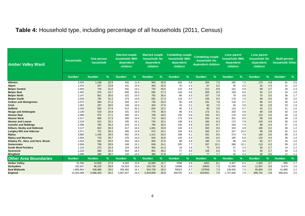#### **Table 4:** Household type, including percentage of all households (2011, Census)

| <b>Amber Valley Ward</b>           | <b>Households</b> | <b>One person</b><br>household |           | <b>Married couple</b><br>household: With<br>dependent<br>children |      | <b>Married couple</b><br>household: No<br>dependent<br>children |               | <b>Cohabiting couple</b><br>household: With<br>dependent<br>children | <b>Cohabiting couple</b><br>household: No<br>dependent children |               |      | Lone parent<br>household: With<br>dependent<br>children |      | Lone parent<br>household: No<br>dependent<br>children |     | <b>Multi-person</b><br>household: Other |     |
|------------------------------------|-------------------|--------------------------------|-----------|-------------------------------------------------------------------|------|-----------------------------------------------------------------|---------------|----------------------------------------------------------------------|-----------------------------------------------------------------|---------------|------|---------------------------------------------------------|------|-------------------------------------------------------|-----|-----------------------------------------|-----|
|                                    | <b>Number</b>     | <b>Number</b>                  | <b>Vo</b> | <b>Number</b>                                                     | $\%$ | <b>Number</b>                                                   | $\frac{9}{6}$ | <b>Number</b>                                                        | $\frac{1}{2}$                                                   | <b>Number</b> | %    | <b>Number</b>                                           | $\%$ | <b>Number</b>                                         | %   | <b>Number</b>                           | %   |
| <b>Alfreton</b>                    | 3,520             | 1,158                          | 32.9      | 420                                                               | 11.9 | 945                                                             | 26.8          | 203                                                                  | 5.8                                                             | 264           | 7.5  | 265                                                     | 7.5  | 174                                                   | 4.9 | 91                                      | 2.6 |
| <b>Alport</b>                      | 1,074             | 257                            | 23.9      | 161                                                               | 15.0 | 483                                                             | 45.0          | 25                                                                   | 2.3                                                             | 67            | 6.2  | 35                                                      | 3.3  | 25                                                    | 2.3 | 21                                      | 2.0 |
| <b>Belper Central</b>              | 2,403             | 744                            | 31.0      | 342                                                               | 14.2 | 732                                                             | 30.5          | 110                                                                  | 4.6                                                             | 212           | 8.8  | 142                                                     | 5.9  | 88                                                    | 3.7 | 33                                      | 1.4 |
| <b>Belper East</b>                 | 2,402             | 570                            | 23.7      | 600                                                               | 25.0 | 656                                                             | 27.3          | 134                                                                  | 5.6                                                             | 205           | 8.5  | 159                                                     | 6.6  | 54                                                    | 2.2 | 24                                      | 1.0 |
| <b>Belper North</b>                | 2,147             | 601                            | 28.0      | 322                                                               | 15.0 | 782                                                             | 36.4          | 86                                                                   | 4.0                                                             | 167           | 7.8  | 78                                                      | 3.6  | 75                                                    | 3.5 | 36                                      | 1.7 |
| <b>Belper South</b>                | 2,528             | 792                            | 31.3      | 373                                                               | 14.8 | 691                                                             | 27.3          | 119                                                                  | 4.7                                                             | 236           | 9.3  | 178                                                     | 7.0  | 89                                                    | 3.5 | 50                                      | 2.0 |
| <b>Codnor and Waingroves</b>       | 2,072             | 564                            | 27.2      | 283                                                               | 13.7 | 735                                                             | 35.5          | 95                                                                   | 4.6                                                             | 161           | 7.8  | 118                                                     | 5.7  | 86                                                    | 4.2 | 30                                      | 1.4 |
| <b>Crich</b>                       | 1,062             | 297                            | 28.0      | 169                                                               | 15.9 | 403                                                             | 37.9          | 33                                                                   | 3.1                                                             | 80            | 7.5  | 30                                                      | 2.8  | 30                                                    | 2.8 | 20                                      | 1.9 |
| <b>Duffield</b>                    | 2,028             | 555                            | 27.4      | 512                                                               | 25.2 | 654                                                             | 32.2          | 46                                                                   | 2.3                                                             | 80            | 3.9  | 116                                                     | 5.7  | 44                                                    | 2.2 | 21                                      | 1.0 |
| <b>Heage and Ambergate</b>         | 2,130             | 519                            | 24.4      | 341                                                               | 16.0 | 775                                                             | 36.4          | 96                                                                   | 4.5                                                             | 173           | 8.1  | 103                                                     | 4.8  | 80                                                    | 3.8 | 43                                      | 2.0 |
| <b>Heanor East</b>                 | 2,488             | 675                            | 27.1      | 400                                                               | 16.1 | 708                                                             | 28.5          | 146                                                                  | 5.9                                                             | 230           | 9.2  | 170                                                     | 6.8  | 115                                                   | 4.6 | 44                                      | 1.8 |
| <b>Heanor West</b>                 | 2,517             | 686                            | 27.3      | 393                                                               | 15.6 | 713                                                             | 28.3          | 173                                                                  | 6.9                                                             | 205           | 8.1  | 201                                                     | 8.0  | 98                                                    | 3.9 | 48                                      | 1.9 |
| <b>Heanor and Loscoe</b>           | 2,216             | 512                            | 23.1      | 335                                                               | 15.1 | 734                                                             | 33.1          | 138                                                                  | 6.2                                                             | 185           | 8.3  | 173                                                     | 7.8  | 103                                                   | 4.6 | 36                                      | 1.6 |
| <b>Ironville and Riddings</b>      | 2,596             | 784                            | 30.2      | 319                                                               | 12.3 | 790                                                             | 30.4          | 150                                                                  | 5.8                                                             | 225           | 8.7  | 193                                                     | 7.4  | 88                                                    | 3.4 | 47                                      | 1.8 |
| Kilburn, Denby and Holbrook        | 3,127             | 823                            | 26.3      | 517                                                               | 16.5 | 1,061                                                           | 33.9          | 134                                                                  | 4.3                                                             | 300           | 9.6  | 154                                                     | 4.9  | 100                                                   | 3.2 | 38                                      | 1.2 |
| <b>Langley Mill and Aldercar</b>   | 2,371             | 721                            | 30.4      | 306                                                               | 12.9 | 572                                                             | 24.1          | 154                                                                  | 6.5                                                             | 230           | 9.7  | 247                                                     | 10.4 | 89                                                    | 3.8 | 52                                      | 2.2 |
| <b>Ripley</b>                      | 3,880             | 1.146                          | 29.5      | 562                                                               | 14.5 | 1.141                                                           | 29.4          | 198                                                                  | 5.1                                                             | 331           | 8.5  | 273                                                     | 7.0  | 140                                                   | 3.6 | 89                                      | 2.3 |
| <b>Ripley and Marehay</b>          | 2,504             | 719                            | 28.7      | 375                                                               | 15.0 | 816                                                             | 32.6          | 133                                                                  | 5.3                                                             | 150           | 6.0  | 165                                                     | 6.6  | 110                                                   | 4.4 | 36                                      | 1.4 |
| Shipley Pk., Hors. and Hors. Wood. | 2,523             | 632                            | 25.0      | 453                                                               | 18.0 | 934                                                             | 37.0          | 98                                                                   | 3.9                                                             | 190           | 7.5  | 98                                                      | 3.9  | 93                                                    | 3.7 | 25                                      | 1.0 |
| <b>Somercotes</b>                  | 2,656             | 756                            | 28.5      | 349                                                               | 13.1 | 639                                                             | 24.1          | 205                                                                  | 7.7                                                             | 267           | 10.1 | 268                                                     | 10.1 | 113                                                   | 4.3 | 59                                      | 2.2 |
| <b>South West Parishes</b>         | 1,123             | 273                            | 24.3      | 224                                                               | 19.9 | 464                                                             | 41.3          | 18                                                                   | 1.6                                                             | 73            | 6.5  | 27                                                      | 2.4  | 30                                                    | 2.7 | 14                                      | 1.2 |
| <b>Swanwick</b>                    | 2,223             | 585                            | 26.3      | 404                                                               | 18.2 | 852                                                             | 38.3          | 77                                                                   | 3.5                                                             | 146           | 6.6  | 71                                                      | 3.2  | 60                                                    | 2.7 | 28                                      | 1.3 |
| Wingfield                          | 1,006             | 289                            | 28.7      | 143                                                               | 14.2 | 380                                                             | 37.8          | 27                                                                   | 2.7                                                             | 77            | 7.7  | 43                                                      | 4.3  | 36                                                    | 3.6 | 11                                      | 1.1 |
| <b>Other Area Boundaries</b>       | <b>Number</b>     | <b>Number</b>                  | <b>Vo</b> | <b>Number</b>                                                     | %    | <b>Number</b>                                                   | %             | <b>Number</b>                                                        | $\%$                                                            | <b>Number</b> | $\%$ | <b>Number</b>                                           | %    | <b>Number</b>                                         | %   | <b>Number</b>                           | %   |
| <b>Amber Valley</b>                | 52,596            | 14,658                         | 27.9      | 8,303                                                             | 15.8 | 16,660                                                          | 31.7          | 2598                                                                 | 4.9                                                             | 4254          | 8.1  | 3,307                                                   | 6.3  | 1,920                                                 | 3.7 | 896                                     | 1.7 |
| Derbyshire                         | 332,637           | 96,233                         | 28.9      | 51,819                                                            | 15.6 | 103,735                                                         | 31.2          | 16598                                                                | 5.0                                                             | 24833         | 7.5  | 22,006                                                  | 6.6  | 11,837                                                | 3.6 | 5,473                                   | 1.6 |
| <b>East Midlands</b>               | 1,895,604         | 548,989                        | 29.0      | 305,482                                                           | 16.1 | 554,739                                                         | 29.3          | 89323                                                                | 4.7                                                             | 137569        | 7.3  | 139,935                                                 | 7.4  | 65,854                                                | 3.5 | 41,890                                  | 2.2 |
| <b>England</b>                     | 22,063,368        | 6,666,493                      | 30.2      | 3,607,557                                                         | 16.4 | 5,919,659                                                       | 26.8          | 945735                                                               | 4.3                                                             | 1541842       | 7.0  | 1,747,646                                               | 7.9  | 846,752                                               | 3.8 | 666,810                                 | 3.0 |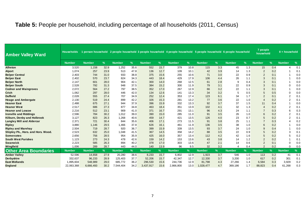#### **Table 5:** People per household, including percentage of all households (2011, Census)

| <b>Amber Valley Ward</b>           | <b>Households</b> |               |      |               |      |               |      |               |      | 1 person household 2 people household 3 people household 4 people household 5 people household 6 people household |               |               |               | 7 people<br>household |               | 8 + household  |               |
|------------------------------------|-------------------|---------------|------|---------------|------|---------------|------|---------------|------|-------------------------------------------------------------------------------------------------------------------|---------------|---------------|---------------|-----------------------|---------------|----------------|---------------|
|                                    | <b>Number</b>     | <b>Number</b> | %    | <b>Number</b> | %    | <b>Number</b> | %    | <b>Number</b> | $\%$ | <b>Number</b>                                                                                                     | $\frac{9}{6}$ | <b>Number</b> | $\frac{9}{6}$ | <b>Number</b>         | $\frac{9}{6}$ | <b>Number</b>  | $\frac{9}{6}$ |
| <b>Alfreton</b>                    | 3,520             | 1,158         | 32.9 | 1,252         | 35.6 | 552           | 15.7 | 379           | 10.8 | 115                                                                                                               | 3.3           | 45            | 1.3           | 15                    | 0.4           | 4              | 0.1           |
| <b>Alport</b>                      | 1,074             | 257           | 23.9 | 513           | 47.8 | 136           | 12.7 | 109           | 10.1 | 42                                                                                                                | 3.9           | 14            | 1.3           | $\overline{2}$        | 0.2           |                | 0.1           |
| <b>Belper Central</b>              | 2,403             | 744           | 31.0 | 933           | 38.8 | 375           | 15.6 | 255           | 10.6 | 71                                                                                                                | 3.0           | 22            | 0.9           | $\overline{2}$        | 0.1           |                | 0.0           |
| <b>Belper East</b>                 | 2,402             | 570           | 23.7 | 824           | 34.3 | 443           | 18.4 | 429           | 17.9 | 106                                                                                                               | 4.4           | 26            | 1.1           | 3                     | 0.1           |                | 0.0           |
| <b>Belper North</b>                | 2,147             | 601           | 28.0 | 904           | 42.1 | 300           | 14.0 | 268           | 12.5 | 61                                                                                                                | 2.8           | 9             | 0.4           | 3                     | 0.1           |                | 0.0           |
| <b>Belper South</b>                | 2,528             | 792           | 31.3 | 948           | 37.5 | 384           | 15.2 | 300           | 11.9 | 79                                                                                                                | 3.1           | 22            | 0.9           | 3                     | 0.1           | $\Omega$       | 0.0           |
| <b>Codnor and Waingroves</b>       | 2.072             | 564           | 27.2 | 797           | 38.5 | 352           | 17.0 | 267           | 12.9 | 66                                                                                                                | 3.2           | 22            | 1.1           | 3                     | 0.1           |                | 0.0           |
| <b>Crich</b>                       | 1,062             | 297           | 28.0 | 446           | 42.0 | 134           | 12.6 | 141           | 13.3 | 34                                                                                                                | 3.2           | 5             | 0.5           | 5                     | 0.5           | $\Omega$       | 0.0           |
| <b>Duffield</b>                    | 2,028             | 555           | 27.4 | 707           | 34.9 | 252           | 12.4 | 353           | 17.4 | 123                                                                                                               | 6.1           | 34            | 1.7           | $\overline{2}$        | 0.1           | $\overline{2}$ | 0.1           |
| <b>Heage and Ambergate</b>         | 2,130             | 519           | 24.4 | 899           | 42.2 | 326           | 15.3 | 281           | 13.2 | 77                                                                                                                | 3.6           | 22            | 1.0           | $\overline{4}$        | 0.2           | $\overline{2}$ | 0.1           |
| <b>Heanor East</b>                 | 2,488             | 675           | 27.1 | 944           | 37.9 | 396           | 15.9 | 332           | 13.3 | 92                                                                                                                | 3.7           | 37            | 1.5           | 11                    | 0.4           |                | 0.0           |
| <b>Heanor West</b>                 | 2,517             | 686           | 27.3 | 877           | 34.8 | 463           | 18.4 | 351           | 13.9 | 102                                                                                                               | 4.1           | 32            | 1.3           | $\overline{4}$        | 0.2           | $\overline{2}$ | 0.1           |
| <b>Heanor and Loscoe</b>           | 2,216             | 512           | 23.1 | 909           | 41.0 | 371           | 16.7 | 291           | 13.1 | 96                                                                                                                | 4.3           | 24            | 1.1           |                       | 0.3           | 6              | 0.3           |
| <b>Ironville and Riddings</b>      | 2,596             | 784           | 30.2 | 1,012         | 39.0 | 390           | 15.0 | 285           | 11.0 | 91                                                                                                                | 3.5           | 26            | 1.0           | 6                     | 0.2           | $\overline{2}$ | 0.1           |
| Kilburn, Denby and Holbrook        | 3,127             | 823           | 26.3 | 1,268         | 40.6 | 459           | 14.7 | 421           | 13.5 | 126                                                                                                               | 4.0           | 23            | 0.7           | 5                     | 0.2           | $\overline{2}$ | 0.1           |
| <b>Langley Mill and Aldercar</b>   | 2,371             | 721           | 30.4 | 844           | 35.6 | 406           | 17.1 | 273           | 11.5 | 91                                                                                                                | 3.8           | 25            | 1.1           |                       | 0.3           |                | 0.2           |
| <b>Ripley</b>                      | 3.880             | 1,146         | 29.5 | 1,466         | 37.8 | 626           | 16.1 | 461           | 11.9 | 136                                                                                                               | 3.5           | 38            | 1.0           | 6                     | 0.2           |                | 0.0           |
| <b>Ripley and Marehay</b>          | 2,504             | 719           | 28.7 | 920           | 36.7 | 399           | 15.9 | 339           | 13.5 | 93                                                                                                                | 3.7           | 24            | 1.0           | 9                     | 0.4           |                | 0.0           |
| Shipley Pk., Hors. and Hors. Wood. | 2,523             | 632           | 25.0 | 1,048         | 41.5 | 367           | 14.5 | 358           | 14.2 | 88                                                                                                                | 3.5           | 22            | 0.9           | 5                     | 0.2           | 3              | 0.1           |
| <b>Somercotes</b>                  | 2.656             | 756           | 28.5 | 954           | 35.9 | 425           | 16.0 | 357           | 13.4 | 112                                                                                                               | 4.2           | 42            | 1.6           | 5                     | 0.2           | 5              | 0.2           |
| <b>South West Parishes</b>         | 1.123             | 273           | 24.3 | 478           | 42.6 | 159           | 14.2 | 153           | 13.6 | 43                                                                                                                | 3.8           | 14            | 1.2           | $\overline{2}$        | 0.2           |                | 0.1           |
| <b>Swanwick</b>                    | 2,223             | 585           | 26.3 | 894           | 40.2 | 378           | 17.0 | 303           | 13.6 | 47                                                                                                                | 2.1           | 14            | 0.6           | $\overline{2}$        | 0.1           | $\Omega$       | 0.0           |
| Wingfield                          | 1,006             | 289           | 28.7 | 443           | 44.0 | 140           | 13.9 | 96            | 9.5  | 32                                                                                                                | 3.2           | 4             | 0.4           | $\mathcal{P}$         | 0.2           | $\Omega$       | 0.0           |
| <b>Other Area Boundaries</b>       | <b>Number</b>     | <b>Number</b> | %    | <b>Number</b> | %    | <b>Number</b> | %    | <b>Number</b> | %    | <b>Number</b>                                                                                                     | $\%$          | <b>Number</b> | $\%$          | <b>Number</b>         | $\frac{1}{2}$ | <b>Number</b>  | %             |
| <b>Amber Valley</b>                | 52,596            | 14,658        | 27.9 | 20,280        | 38.6 | 8,233         | 15.7 | 6,802         | 12.9 | 1,923                                                                                                             | 3.7           | 546           | 1.0           | 113                   | 0.2           | 41             | 0.1           |
| <b>Derbyshire</b>                  | 332,637           | 96,233        | 28.9 | 125,403       | 37.7 | 52,206        | 15.7 | 42,347        | 12.7 | 12,330                                                                                                            | 3.7           | 3,200         | 1.0           | 617                   | 0.2           | 301            | 0.1           |
| <b>East Midlands</b>               | 1,895,604         | 548,989       | 29.0 | 685,772       | 36.2 | 296,530       | 15.6 | 244,736       | 12.9 | 81,798                                                                                                            | 4.3           | 27,266        | 1.4           | 6,584                 | 0.3           | 3,929          | 0.2           |
| <b>England</b>                     | 22,063,368        | 6,666,493     | 30.2 | 7,544,404     | 34.2 | 3,437,917     | 15.6 | 2,866,800     | 13.0 | 1,028,477                                                                                                         | 4.7           | 369,186       | 1.7           | 88,823                | 0.4           | 61,268         | 0.3           |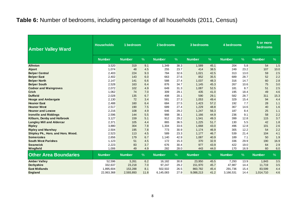#### **Table 6:** Number of bedrooms, including percentage of all households (2011, Census)

| <b>Amber Valley Ward</b>           | <b>Households</b> | 1 bedroom     |      | 2 bedrooms    |               | 3 bedrooms    |      | 4 bedrooms    |      | 5 or more<br>bedrooms |      |  |
|------------------------------------|-------------------|---------------|------|---------------|---------------|---------------|------|---------------|------|-----------------------|------|--|
|                                    | <b>Number</b>     | <b>Number</b> | $\%$ | <b>Number</b> | $\frac{0}{6}$ | <b>Number</b> | $\%$ | <b>Number</b> | $\%$ | <b>Number</b>         | $\%$ |  |
| <b>Alfreton</b>                    | 3,520             | 319           | 9.1  | 1,349         | 38.3          | 1,589         | 45.1 | 204           | 5.8  | 54                    | 1.5  |  |
| <b>Alport</b>                      | 1,074             | 48            | 4.5  | 255           | 23.7          | 414           | 38.5 | 249           | 23.2 | 107                   | 10.0 |  |
| <b>Belper Central</b>              | 2,403             | 224           | 9.3  | 784           | 32.6          | 1,021         | 42.5 | 313           | 13.0 | 59                    | 2.5  |  |
| <b>Belper East</b>                 | 2,402             | 143           | 6.0  | 663           | 27.6          | 852           | 35.5 | 689           | 28.7 | 52                    | 2.2  |  |
| <b>Belper North</b>                | 2,147             | 141           | 6.6  | 588           | 27.4          | 1,037         | 48.3 | 316           | 14.7 | 60                    | 2.8  |  |
| <b>Belper South</b>                | 2,528             | 163           | 6.4  | 876           | 34.7          | 1,145         | 45.3 | 267           | 10.6 | 75                    | 3.0  |  |
| <b>Codnor and Waingroves</b>       | 2,072             | 102           | 4.9  | 649           | 31.3          | 1,087         | 52.5 | 181           | 8.7  | 51                    | 2.5  |  |
| <b>Crich</b>                       | 1,062             | 74            | 7.0  | 309           | 29.1          | 435           | 41.0 | 195           | 18.4 | 49                    | 4.6  |  |
| <b>Duffield</b>                    | 2,028             | 135           | 6.7  | 408           | 20.1          | 590           | 29.1 | 582           | 28.7 | 311                   | 15.3 |  |
| <b>Heage and Ambergate</b>         | 2,130             | 72            | 3.4  | 581           | 27.3          | 1,053         | 49.4 | 329           | 15.4 | 94                    | 4.4  |  |
| <b>Heanor East</b>                 | 2,488             | 160           | 6.4  | 684           | 27.5          | 1,423         | 57.2 | 192           | 7.7  | 28                    | 1.1  |  |
| <b>Heanor West</b>                 | 2,517             | 190           | 7.5  | 689           | 27.4          | 1,229         | 48.8 | 367           | 14.6 | 40                    | 1.6  |  |
| <b>Heanor and Loscoe</b>           | 2,216             | 108           | 4.9  | 646           | 29.2          | 1,247         | 56.3 | 187           | 8.4  | 25                    | 1.1  |  |
| <b>Ironville and Riddings</b>      | 2,596             | 144           | 5.5  | 988           | 38.1          | 1,166         | 44.9 | 236           | 9.1  | 58                    | 2.2  |  |
| Kilburn, Denby and Holbrook        | 3,127             | 159           | 5.1  | 912           | 29.2          | 1,541         | 49.3 | 399           | 12.8 | 115                   | 3.7  |  |
| <b>Langley Mill and Aldercar</b>   | 2,371             | 105           | 4.4  | 865           | 36.5          | 1,225         | 51.7 | 130           | 5.5  | 42                    | 1.8  |  |
| <b>Ripley</b>                      | 3,880             | 304           | 7.8  | 1,304         | 33.6          | 1,668         | 43.0 | 496           | 12.8 | 101                   | 2.6  |  |
| <b>Ripley and Marehay</b>          | 2,504             | 195           | 7.8  | 773           | 30.9          | 1.174         | 46.9 | 305           | 12.2 | 54                    | 2.2  |  |
| Shipley Pk., Hors. and Hors. Wood. | 2,523             | 113           | 4.5  | 589           | 23.3          | 1,177         | 46.7 | 539           | 21.4 | 104                   | 4.1  |  |
| <b>Somercotes</b>                  | 2,656             | 179           | 6.7  | 1,140         | 42.9          | 1,087         | 40.9 | 189           | 7.1  | 50                    | 1.9  |  |
| <b>South West Parishes</b>         | 1,123             | 51            | 4.5  | 172           | 15.3          | 370           | 32.9 | 336           | 29.9 | 190                   | 16.9 |  |
| <b>Swanwick</b>                    | 2,223             | 83            | 3.7  | 676           | 30.4          | 977           | 43.9 | 422           | 19.0 | 64                    | 2.9  |  |
| Wingfield                          | 1,006             | 49            | 4.9  | 282           | 28.0          | 443           | 44.0 | 170           | 16.9 | 60                    | 6.0  |  |
| <b>Other Area Boundaries</b>       | <b>Number</b>     | <b>Number</b> | $\%$ | <b>Number</b> | $\frac{9}{6}$ | <b>Number</b> | $\%$ | <b>Number</b> | %    | <b>Number</b>         | $\%$ |  |
| <b>Amber Valley</b>                | 52,596            | 3,261         | 6.2  | 16,182        | 30.8          | 23,950        | 45.5 | 7,293         | 13.9 | 1.843                 | 3.5  |  |
| Derbyshire                         | 332,637           | 23,218        | 7.0  | 97,247        | 29.2          | 151,970       | 45.7 | 47,987        | 14.4 | 11,719                | 3.5  |  |
| <b>East Midlands</b>               | 1,895,604         | 153,288       | 8.1  | 502,502       | 26.5          | 860,782       | 45.4 | 291,736       | 15.4 | 83,599                | 4.4  |  |
| <b>England</b>                     | 22,063,368        | 2,593,893     | 11.8 | 6,145,083     | 27.9          | 9,088,213     | 41.2 | 3,166,531     | 14.4 | 1,014,710             | 4.6  |  |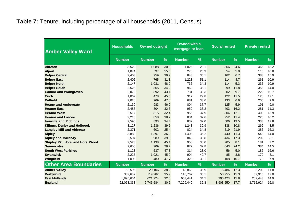#### **Table 7:** Tenure, including percentage of all households (2011, Census)

| <b>Amber Valley Ward</b>           | <b>Households</b> |               | <b>Owned outright</b> |               | <b>Owned with a</b><br>mortgage or loan | <b>Social rented</b> |               | <b>Private rented</b> |      |  |
|------------------------------------|-------------------|---------------|-----------------------|---------------|-----------------------------------------|----------------------|---------------|-----------------------|------|--|
|                                    | <b>Number</b>     | <b>Number</b> | $\frac{9}{6}$         | <b>Number</b> | $\frac{9}{6}$                           | <b>Number</b>        | $\frac{9}{6}$ | <b>Number</b>         | %    |  |
| <b>Alfreton</b>                    | 3,520             | 1,088         | 30.9                  | 1,025         | 29.1                                    | 866                  | 24.6          | 465                   | 13.2 |  |
| <b>Alport</b>                      | 1,074             | 597           | 55.6                  | 278           | 25.9                                    | 54                   | 5.0           | 116                   | 10.8 |  |
| <b>Belper Central</b>              | 2,403             | 959           | 39.9                  | 843           | 35.1                                    | 162                  | 6.7           | 383                   | 15.9 |  |
| <b>Belper East</b>                 | 2,402             | 765           | 31.8                  | 1,228         | 51.1                                    | 114                  | 4.7           | 261                   | 10.9 |  |
| <b>Belper North</b>                | 2,147             | 1,031         | 48.0                  | 736           | 34.3                                    | 114                  | 5.3           | 235                   | 10.9 |  |
| <b>Belper South</b>                | 2,528             | 865           | 34.2                  | 962           | 38.1                                    | 299                  | 11.8          | 353                   | 14.0 |  |
| <b>Codnor and Waingroves</b>       | 2,072             | 892           | 43.1                  | 731           | 35.3                                    | 202                  | 9.7           | 222                   | 10.7 |  |
| <b>Crich</b>                       | 1,062             | 478           | 45.0                  | 317           | 29.8                                    | 122                  | 11.5          | 128                   | 12.1 |  |
| <b>Duffield</b>                    | 2,028             | 969           | 47.8                  | 681           | 33.6                                    | 133                  | 6.6           | 200                   | 9.9  |  |
| <b>Heage and Ambergate</b>         | 2,130             | 983           | 46.2                  | 804           | 37.7                                    | 125                  | 5.9           | 191                   | 9.0  |  |
| <b>Heanor East</b>                 | 2,488             | 804           | 32.3                  | 950           | 38.2                                    | 403                  | 16.2          | 281                   | 11.3 |  |
| <b>Heanor West</b>                 | 2,517             | 815           | 32.4                  | 955           | 37.9                                    | 304                  | 12.1          | 400                   | 15.9 |  |
| <b>Heanor and Loscoe</b>           | 2,216             | 858           | 38.7                  | 834           | 37.6                                    | 252                  | 11.4          | 226                   | 10.2 |  |
| <b>Ironville and Riddings</b>      | 2,596             | 893           | 34.4                  | 832           | 32.0                                    | 506                  | 19.5          | 333                   | 12.8 |  |
| Kilburn, Denby and Holbrook        | 3,127             | 1,236         | 39.5                  | 1,248         | 39.9                                    | 338                  | 10.8          | 266                   | 8.5  |  |
| <b>Langley Mill and Aldercar</b>   | 2,371             | 602           | 25.4                  | 824           | 34.8                                    | 519                  | 21.9          | 386                   | 16.3 |  |
| <b>Ripley</b>                      | 3,880             | 1,397         | 36.0                  | 1,403         | 36.2                                    | 440                  | 11.3          | 543                   | 14.0 |  |
| <b>Ripley and Marehay</b>          | 2,504             | 989           | 39.5                  | 846           | 33.8                                    | 434                  | 17.3          | 202                   | 8.1  |  |
| Shipley Pk., Hors. and Hors. Wood. | 2,523             | 1,138         | 45.1                  | 958           | 38.0                                    | 205                  | 8.1           | 181                   | 7.2  |  |
| <b>Somercotes</b>                  | 2,656             | 709           | 26.7                  | 872           | 32.8                                    | 643                  | 24.2          | 384                   | 14.5 |  |
| <b>South West Parishes</b>         | 1,123             | 537           | 47.8                  | 314           | 28.0                                    | 56                   | 5.0           | 186                   | 16.6 |  |
| <b>Swanwick</b>                    | 2,223             | 1,021         | 45.9                  | 904           | 40.7                                    | 85                   | 3.8           | 179                   | 8.1  |  |
| Wingfield                          | 1,006             | 480           | 47.7                  | 323           | 32.1                                    | 108                  | 10.7          | 79                    | 7.9  |  |
| <b>Other Area Boundaries</b>       | <b>Number</b>     | <b>Number</b> | %                     | <b>Number</b> | %                                       | <b>Number</b>        | %             | <b>Number</b>         | %    |  |
| <b>Amber Valley</b>                | 52,596            | 20,106        | 38.2                  | 18,868        | 35.9                                    | 6,484                | 12.3          | 6,200                 | 11.8 |  |
| <b>Derbyshire</b>                  | 332,637           | 119,282       | 35.9                  | 116,767       | 35.1                                    | 50,955               | 15.3          | 39,915                | 12.0 |  |
| <b>East Midlands</b>               | 1,895,604         | 621,224       | 32.8                  | 653,441       | 34.5                                    | 300,423              | 15.8          | 282,443               | 14.9 |  |
| <b>England</b>                     | 22,063,368        | 6,745,584     | 30.6                  | 7,229,440     | 32.8                                    | 3,903,550            | 17.7          | 3,715,924             | 16.8 |  |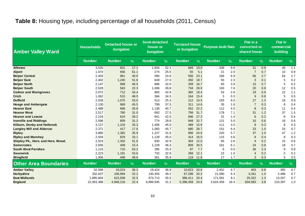#### **Table 8:** Housing type, including percentage of all households (2011, Census)

| <b>Amber Valley Ward</b>           | <b>Households</b> | <b>Detached house or</b><br>bungalow |      | Semi-detached<br>house or<br>bungalow |      | <b>Terraced house</b><br>or bungalow |      | <b>Purpose-built flats</b> |               | Flat in a<br>converted or<br>shared house |               | <b>Flat in</b><br>commercial<br>building |      |
|------------------------------------|-------------------|--------------------------------------|------|---------------------------------------|------|--------------------------------------|------|----------------------------|---------------|-------------------------------------------|---------------|------------------------------------------|------|
|                                    | <b>Number</b>     | <b>Number</b>                        | $\%$ | <b>Number</b>                         | $\%$ | <b>Number</b>                        | $\%$ | <b>Number</b>              | $\frac{9}{6}$ | <b>Number</b>                             | $\frac{9}{6}$ | <b>Number</b>                            | $\%$ |
| <b>Alfreton</b>                    | 3,520             | 601                                  | 17.1 | 1,834                                 | 52.1 | 669                                  | 19.0 | 339                        | 9.6           | 31                                        | 0.9           | 40                                       | 1.1  |
| <b>Alport</b>                      | 1,074             | 656                                  | 61.1 | 274                                   | 25.5 | 55                                   | 5.1  | 21                         | 2.0           |                                           | 0.7           | 10                                       | 0.9  |
| <b>Belper Central</b>              | 2,403             | 961                                  | 40.0 | 590                                   | 24.6 | 556                                  | 23.1 | 166                        | 6.9           | 66                                        | 2.7           | 64                                       | 2.7  |
| <b>Belper East</b>                 | 2,402             | 1,240                                | 51.6 | 649                                   | 27.0 | 450                                  | 18.7 | 55                         | 2.3           | 3                                         | 0.1           | 5                                        | 0.2  |
| <b>Belper North</b>                | 2,147             | 999                                  | 46.5 | 686                                   | 32.0 | 359                                  | 16.7 | 83                         | 3.9           | 15                                        | 0.7           | 5                                        | 0.2  |
| <b>Belper South</b>                | 2,528             | 563                                  | 22.3 | 1,006                                 | 39.8 | 734                                  | 29.0 | 193                        | 7.6           | 20                                        | 0.8           | 12                                       | 0.5  |
| <b>Codnor and Waingroves</b>       | 2,072             | 712                                  | 34.4 | 883                                   | 42.6 | 382                                  | 18.4 | 53                         | 2.6           | 19                                        | 0.9           | 22                                       | 1.1  |
| <b>Crich</b>                       | 1,062             | 515                                  | 48.5 | 366                                   | 34.5 | 164                                  | 15.4 | 3                          | 0.3           | 9                                         | 0.8           | 5                                        | 0.5  |
| <b>Duffield</b>                    | 2,028             | 1,075                                | 53.0 | 513                                   | 25.3 | 212                                  | 10.5 | 183                        | 9.0           | 27                                        | 1.3           | 18                                       | 0.9  |
| <b>Heage and Ambergate</b>         | 2,130             | 969                                  | 45.5 | 799                                   | 37.5 | 311                                  | 14.6 | 35                         | 1.6           |                                           | 0.3           | 8                                        | 0.4  |
| <b>Heanor East</b>                 | 2,488             | 668                                  | 26.8 | 1,136                                 | 45.7 | 552                                  | 22.2 | 112                        | 4.5           | 8                                         | 0.3           | 11                                       | 0.4  |
| <b>Heanor West</b>                 | 2,517             | 780                                  | 31.0 | 692                                   | 27.5 | 799                                  | 31.7 | 178                        | 7.1           | 31                                        | 1.2           | 37                                       | 1.5  |
| <b>Heanor and Loscoe</b>           | 2,216             | 624                                  | 28.2 | 941                                   | 42.5 | 606                                  | 27.3 | 31                         | 1.4           | 6                                         | 0.3           | 8                                        | 0.4  |
| <b>Ironville and Riddings</b>      | 2,596             | 809                                  | 31.2 | 774                                   | 29.8 | 848                                  | 32.7 | 131                        | 5.0           | 16                                        | 0.6           | 16                                       | 0.6  |
| Kilburn, Denby and Holbrook        | 3,127             | 1,103                                | 35.3 | 1,406                                 | 45.0 | 489                                  | 15.6 | 111                        | 3.5           | 8                                         | 0.3           | 8                                        | 0.3  |
| <b>Langley Mill and Aldercar</b>   | 2,371             | 417                                  | 17.6 | 1,083                                 | 45.7 | 680                                  | 28.7 | 151                        | 6.4           | 23                                        | 1.0           | 16                                       | 0.7  |
| <b>Ripley</b>                      | 3,880             | 1,392                                | 35.9 | 1,227                                 | 31.6 | 956                                  | 24.6 | 220                        | 5.7           | 37                                        | 1.0           | 47                                       | 1.2  |
| <b>Ripley and Marehay</b>          | 2,504             | 829                                  | 33.1 | 1,128                                 | 45.0 | 414                                  | 16.5 | 115                        | 4.6           | 9                                         | 0.4           | 8                                        | 0.3  |
| Shipley Pk., Hors. and Hors. Wood. | 2,523             | 1,302                                | 51.6 | 830                                   | 32.9 | 304                                  | 12.0 | 65                         | 2.6           | 4                                         | 0.2           | 15                                       | 0.6  |
| <b>Somercotes</b>                  | 2,656             | 408                                  | 15.4 | 1,229                                 | 46.3 | 809                                  | 30.5 | 161                        | 6.1           | 24                                        | 0.9           | 18                                       | 0.7  |
| <b>South West Parishes</b>         | 1,123             | 710                                  | 63.2 | 285                                   | 25.4 | 87                                   | 7.7  | 6                          | 0.5           | 26                                        | 2.3           | 9                                        | 0.8  |
| <b>Swanwick</b>                    | 2,223             | 1,191                                | 53.6 | 732                                   | 32.9 | 268                                  | 12.1 | 23                         | 1.0           | 4                                         | 0.2           | 5                                        | 0.2  |
| Wingfield                          | 1,006             | 499                                  | 49.6 | 361                                   | 35.9 | 119                                  | 11.8 | 17                         | 1.7           | 3                                         | 0.3           | 5                                        | 0.5  |
| <b>Other Area Boundaries</b>       | <b>Number</b>     | <b>Number</b>                        | $\%$ | <b>Number</b>                         | %    | <b>Number</b>                        | %    | <b>Number</b>              | %             | <b>Number</b>                             | %             | <b>Number</b>                            | $\%$ |
| <b>Amber Valley</b>                | 52,596            | 19,023                               | 36.2 | 19,424                                | 36.9 | 10,823                               | 20.6 | 2,452                      | 4.7           | 403                                       | 0.8           | 392                                      | 0.7  |
| <b>Derbyshire</b>                  | 332,637           | 106.994                              | 32.2 | 130,455                               | 39.2 | 67,298                               | 20.2 | 21.090                     | 6.3           | 3,341                                     | 1.0           | 2,486                                    | 0.7  |
| <b>East Midlands</b>               | 1,895,604         | 615,938                              | 32.5 | 673,713                               | 35.5 | 386,411                              | 20.4 | 171,591                    | 9.1           | 25,322                                    | 1.3           | 13,267                                   | 0.7  |
| <b>England</b>                     | 22,063,368        | 4,949,216                            | 22.4 | 6,889,935                             | 31.2 | 5,396,459                            | 24.5 | 3,624,359                  | 16.4          | 834,083                                   | 3.8           | 210,397                                  | 1.0  |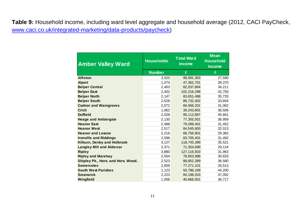**Table 9:** Household income, including ward level aggregate and household average (2012, CACI PayCheck, [www.caci.co.uk/integrated-marketing/data-products/paycheck\)](http://www.caci.co.uk/integrated-marketing/data-products/paycheck)

| <b>Amber Valley Ward</b>           | <b>Households</b> | <b>Total Ward</b><br><b>Income</b> | <b>Mean</b><br><b>Household</b><br><b>Income</b> |
|------------------------------------|-------------------|------------------------------------|--------------------------------------------------|
|                                    | <b>Number</b>     | £                                  | £                                                |
| <b>Alfreton</b>                    | 3,520             | 98,991,303                         | 27,590                                           |
| <b>Alport</b>                      | 1,074             | 47,362,701                         | 39,370                                           |
| <b>Belper Central</b>              | 2,403             | 82,037,804                         | 34,211                                           |
| <b>Belper East</b>                 | 2,402             | 102,216,298                        | 42,750                                           |
| <b>Belper North</b>                | 2,147             | 83,651,498                         | 35,733                                           |
| <b>Belper South</b>                | 2,528             | 86,732,402                         | 33,604                                           |
| <b>Codnor and Waingroves</b>       | 2,072             | 66,566,201                         | 31,062                                           |
| <b>Crich</b>                       | 1,062             | 39,243,601                         | 36,506                                           |
| <b>Duffield</b>                    | 2,028             | 95,112,897                         | 45,661                                           |
| <b>Heage and Ambergate</b>         | 2,130             | 77,355,501                         | 36,959                                           |
| <b>Heanor East</b>                 | 2,488             | 79,289,401                         | 31,452                                           |
| <b>Heanor West</b>                 | 2,517             | 84,545,600                         | 32,013                                           |
| <b>Heanor and Loscoe</b>           | 2,216             | 66,756,901                         | 29,382                                           |
| <b>Ironville and Riddings</b>      | 2,596             | 83,705,401                         | 31,492                                           |
| Kilburn, Denby and Holbrook        | 3,127             | 118,745,399                        | 35,521                                           |
| <b>Langley Mill and Aldercar</b>   | 2,371             | 71,354,699                         | 29,124                                           |
| <b>Ripley</b>                      | 3,880             | 127,116,503                        | 31,963                                           |
| <b>Ripley and Marehay</b>          | 2,504             | 78,653,998                         | 30,833                                           |
| Shipley Pk., Hors. and Hors. Wood. | 2,523             | 88,852,399                         | 36,580                                           |
| <b>Somercotes</b>                  | 2,656             | 77,271,101                         | 28,513                                           |
| <b>South West Parishes</b>         | 1,123             | 50,786,199                         | 44,200                                           |
| <b>Swanwick</b>                    | 2,223             | 84,198,203                         | 37,092                                           |
| Wingfield                          | 1,006             | 40,866,501                         | 36,717                                           |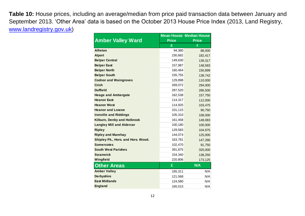**Table 10:** House prices, including an average/median from price paid transaction data between January and September 2013. 'Other Area' data is based on the October 2013 House Price Index (2013, Land Registry, [www.landregistry.gov.uk\)](http://www.landregistry.gov.uk/)

|                                    |              | <b>Mean House Median House</b> |
|------------------------------------|--------------|--------------------------------|
| <b>Amber Valley Ward</b>           | <b>Price</b> | <b>Price</b>                   |
|                                    | £            | £                              |
| <b>Alfreton</b>                    | 94,380       | 88,000                         |
| <b>Alport</b>                      | 230,682      | 182,417                        |
| <b>Belper Central</b>              | 149,630      | 139,317                        |
| <b>Belper East</b>                 | 157,987      | 148,583                        |
| <b>Belper North</b>                | 160,464      | 150,899                        |
| <b>Belper South</b>                | 155,755      | 138,742                        |
| <b>Codnor and Waingroves</b>       | 129,898      | 110,000                        |
| <b>Crich</b>                       | 269,072      | 294,000                        |
| <b>Duffield</b>                    | 287,520      | 286,500                        |
| <b>Heage and Ambergate</b>         | 162,538      | 157,750                        |
| <b>Heanor East</b>                 | 114,317      | 112,000                        |
| <b>Heanor West</b>                 | 114,925      | 103,475                        |
| <b>Heanor and Loscoe</b>           | 101,115      | 90,750                         |
| <b>Ironville and Riddings</b>      | 105,310      | 108,000                        |
| Kilburn, Denby and Holbrook        | 161,458      | 148,083                        |
| <b>Langley Mill and Aldercar</b>   | 100,180      | 100,000                        |
| <b>Ripley</b>                      | 129,583      | 104,975                        |
| <b>Ripley and Marehay</b>          | 144,074      | 125,000                        |
| Shipley Pk., Hors. and Hors. Wood. | 163,781      | 147,286                        |
| <b>Somercotes</b>                  | 102,470      | 91,750                         |
| <b>South West Parishes</b>         | 391,875      | 325,000                        |
| <b>Swanwick</b>                    | 154,340      | 138,250                        |
| Wingfield                          | 220,806      | 173,125                        |
| <b>Other Areas</b>                 | £            | N/A                            |
| <b>Amber Valley</b>                | 165,311      | N/A                            |
| <b>Derbyshire</b>                  | 121,568      | N/A                            |
| <b>East Midlands</b>               | 124,580      | N/A                            |
| <b>England</b>                     | 165,515      | N/A                            |